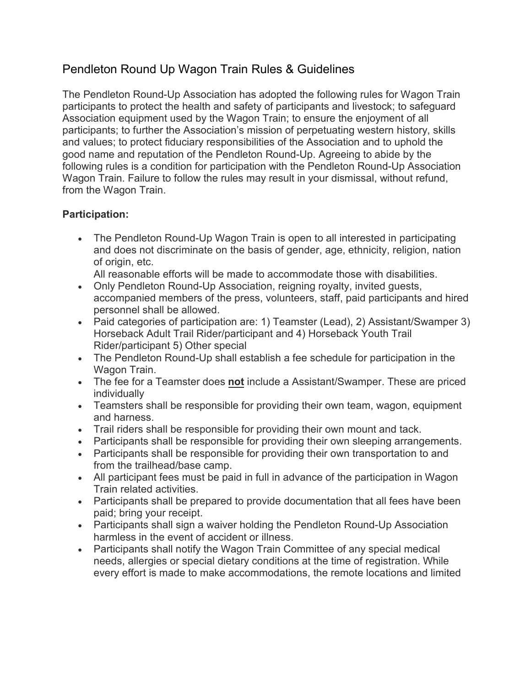# Pendleton Round Up Wagon Train Rules & Guidelines

The Pendleton Round-Up Association has adopted the following rules for Wagon Train participants to protect the health and safety of participants and livestock; to safeguard Association equipment used by the Wagon Train; to ensure the enjoyment of all participants; to further the Association's mission of perpetuating western history, skills and values; to protect fiduciary responsibilities of the Association and to uphold the good name and reputation of the Pendleton Round-Up. Agreeing to abide by the following rules is a condition for participation with the Pendleton Round-Up Association Wagon Train. Failure to follow the rules may result in your dismissal, without refund, from the Wagon Train.

### **Participation:**

• The Pendleton Round-Up Wagon Train is open to all interested in participating and does not discriminate on the basis of gender, age, ethnicity, religion, nation of origin, etc.

All reasonable efforts will be made to accommodate those with disabilities.

- Only Pendleton Round-Up Association, reigning royalty, invited guests, accompanied members of the press, volunteers, staff, paid participants and hired personnel shall be allowed.
- Paid categories of participation are: 1) Teamster (Lead), 2) Assistant/Swamper 3) Horseback Adult Trail Rider/participant and 4) Horseback Youth Trail Rider/participant 5) Other special
- The Pendleton Round-Up shall establish a fee schedule for participation in the Wagon Train.
- The fee for a Teamster does **not** include a Assistant/Swamper. These are priced individually
- Teamsters shall be responsible for providing their own team, wagon, equipment and harness.
- Trail riders shall be responsible for providing their own mount and tack.
- Participants shall be responsible for providing their own sleeping arrangements.
- Participants shall be responsible for providing their own transportation to and from the trailhead/base camp.
- All participant fees must be paid in full in advance of the participation in Wagon Train related activities.
- Participants shall be prepared to provide documentation that all fees have been paid; bring your receipt.
- Participants shall sign a waiver holding the Pendleton Round-Up Association harmless in the event of accident or illness.
- Participants shall notify the Wagon Train Committee of any special medical needs, allergies or special dietary conditions at the time of registration. While every effort is made to make accommodations, the remote locations and limited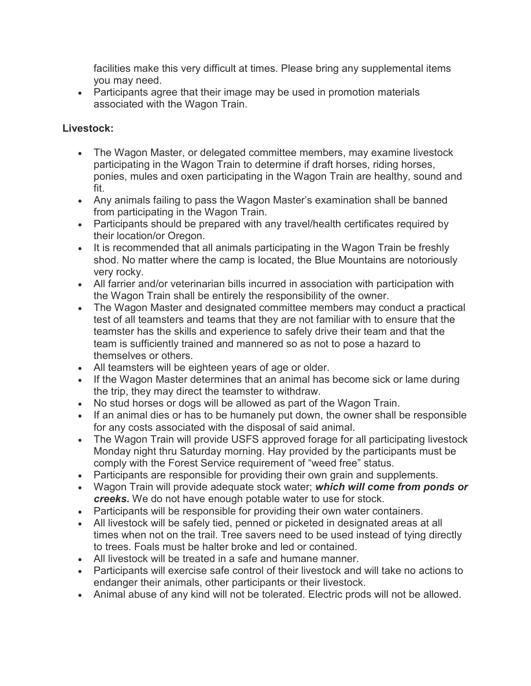facilities make this very difficult at times. Please bring any supplemental items you may need.

• Participants agree that their image may be used in promotion materials associated with the Wagon Train.

### **Livestock:**

- The Wagon Master, or delegated committee members, may examine livestock participating in the Wagon Train to determine if draft horses, riding horses, ponies, mules and oxen participating in the Wagon Train are healthy, sound and fit.
- Any animals failing to pass the Wagon Master's examination shall be banned from participating in the Wagon Train.
- Participants should be prepared with any travel/health certificates required by their location/or Oregon.
- It is recommended that all animals participating in the Wagon Train be freshly shod. No matter where the camp is located, the Blue Mountains are notoriously very rocky.
- All farrier and/or veterinarian bills incurred in association with participation with the Wagon Train shall be entirely the responsibility of the owner.
- The Wagon Master and designated committee members may conduct a practical test of all teamsters and teams that they are not familiar with to ensure that the teamster has the skills and experience to safely drive their team and that the team is sufficiently trained and mannered so as not to pose a hazard to themselves or others.
- All teamsters will be eighteen years of age or older.
- If the Wagon Master determines that an animal has become sick or lame during the trip, they may direct the teamster to withdraw.
- No stud horses or dogs will be allowed as part of the Wagon Train.
- If an animal dies or has to be humanely put down, the owner shall be responsible for any costs associated with the disposal of said animal.
- The Wagon Train will provide USFS approved forage for all participating livestock Monday night thru Saturday morning. Hay provided by the participants must be comply with the Forest Service requirement of "weed free" status.
- Participants are responsible for providing their own grain and supplements.
- Wagon Train will provide adequate stock water; *which will come from ponds or creeks.* We do not have enough potable water to use for stock.
- Participants will be responsible for providing their own water containers.
- All livestock will be safely tied, penned or picketed in designated areas at all times when not on the trail. Tree savers need to be used instead of tying directly to trees. Foals must be halter broke and led or contained.
- All livestock will be treated in a safe and humane manner.
- Participants will exercise safe control of their livestock and will take no actions to endanger their animals, other participants or their livestock.
- Animal abuse of any kind will not be tolerated. Electric prods will not be allowed.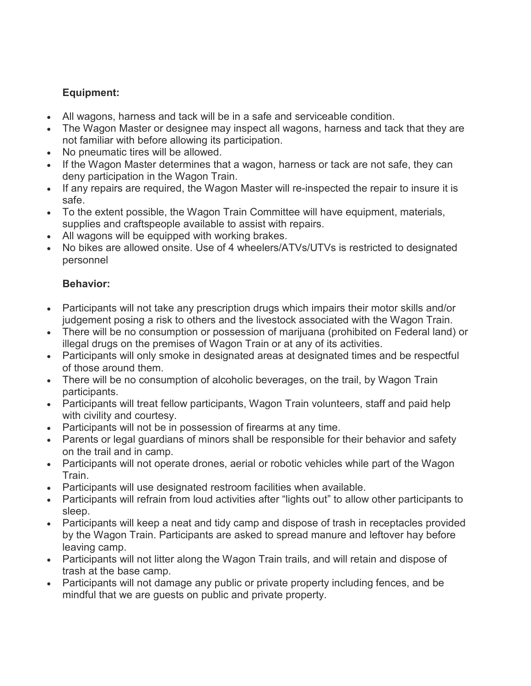## **Equipment:**

- All wagons, harness and tack will be in a safe and serviceable condition.
- The Wagon Master or designee may inspect all wagons, harness and tack that they are not familiar with before allowing its participation.
- No pneumatic tires will be allowed.
- If the Wagon Master determines that a wagon, harness or tack are not safe, they can deny participation in the Wagon Train.
- If any repairs are required, the Wagon Master will re-inspected the repair to insure it is safe.
- To the extent possible, the Wagon Train Committee will have equipment, materials, supplies and craftspeople available to assist with repairs.
- All wagons will be equipped with working brakes.
- No bikes are allowed onsite. Use of 4 wheelers/ATVs/UTVs is restricted to designated personnel

### **Behavior:**

- Participants will not take any prescription drugs which impairs their motor skills and/or judgement posing a risk to others and the livestock associated with the Wagon Train.
- There will be no consumption or possession of marijuana (prohibited on Federal land) or illegal drugs on the premises of Wagon Train or at any of its activities.
- Participants will only smoke in designated areas at designated times and be respectful of those around them.
- There will be no consumption of alcoholic beverages, on the trail, by Wagon Train participants.
- Participants will treat fellow participants, Wagon Train volunteers, staff and paid help with civility and courtesy.
- Participants will not be in possession of firearms at any time.
- Parents or legal guardians of minors shall be responsible for their behavior and safety on the trail and in camp.
- Participants will not operate drones, aerial or robotic vehicles while part of the Wagon Train.
- Participants will use designated restroom facilities when available.
- Participants will refrain from loud activities after "lights out" to allow other participants to sleep.
- Participants will keep a neat and tidy camp and dispose of trash in receptacles provided by the Wagon Train. Participants are asked to spread manure and leftover hay before leaving camp.
- Participants will not litter along the Wagon Train trails, and will retain and dispose of trash at the base camp.
- Participants will not damage any public or private property including fences, and be mindful that we are guests on public and private property.